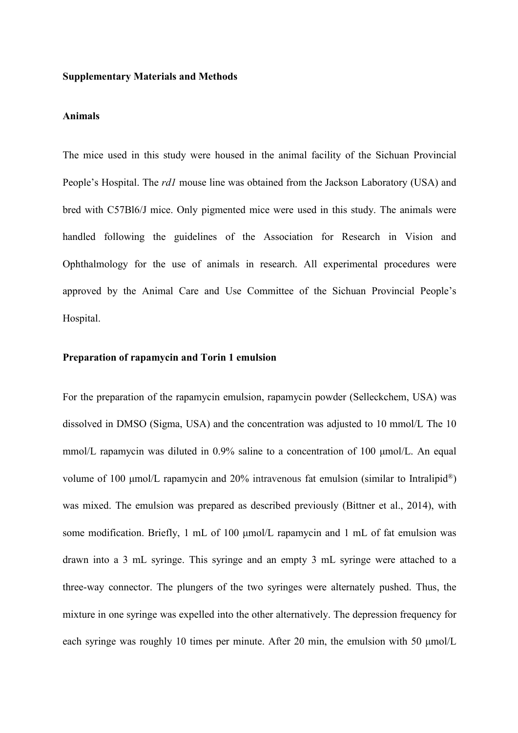#### **Supplementary Materials and Methods**

#### **Animals**

The mice used in this study were housed in the animal facility of the Sichuan Provincial People's Hospital. The *rd1* mouse line was obtained from the Jackson Laboratory (USA) and bred with C57Bl6/J mice. Only pigmented mice were used in this study. The animals were handled following the guidelines of the Association for Research in Vision and Ophthalmology for the use of animals in research. All experimental procedures were approved by the Animal Care and Use Committee of the Sichuan Provincial People's Hospital.

## **Preparation of rapamycin and Torin 1 emulsion**

For the preparation of the rapamycin emulsion, rapamycin powder (Selleckchem, USA) was dissolved in DMSO (Sigma, USA) and the concentration was adjusted to 10 mmol/L The 10 mmol/L rapamycin was diluted in 0.9% saline to a concentration of 100 μmol/L. An equal volume of 100 μmol/L rapamycin and 20% intravenous fat emulsion (similar to Intralipid ®) was mixed. The emulsion was prepared as described previously (Bittner et al., 2014), with some modification. Briefly, 1 mL of 100 μmol/L rapamycin and 1 mL of fat emulsion was drawn into a 3 mL syringe. This syringe and an empty 3 mL syringe were attached to a three-way connector. The plungers of the two syringes were alternately pushed. Thus, the mixture in one syringe was expelled into the other alternatively. The depression frequency for each syringe was roughly 10 times per minute. After 20 min, the emulsion with 50 μmol/L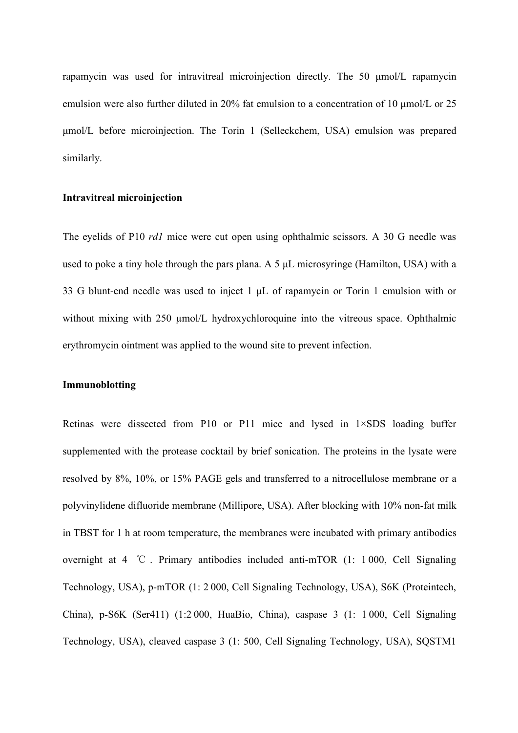rapamycin was used for intravitreal microinjection directly. The 50 μmol/L rapamycin emulsion were also further diluted in 20% fat emulsion to a concentration of 10 μmol/L or 25 μmol/L before microinjection. The Torin 1 (Selleckchem, USA) emulsion was prepared similarly.

## **Intravitreal microinjection**

The eyelids of P10 *rd1* mice were cut open using ophthalmic scissors. A 30 G needle was used to poke a tiny hole through the pars plana. A 5 μL microsyringe (Hamilton, USA) with a 33 G blunt-end needle was used to inject 1 uL of rapamycin or Torin 1 emulsion with or without mixing with 250  $\mu$ mol/L hydroxychloroquine into the vitreous space. Ophthalmic erythromycin ointment was applied to the wound site to prevent infection.

### **Immunoblotting**

Retinas were dissected from P10 or P11 mice and lysed in 1×SDS loading buffer supplemented with the protease cocktail by brief sonication. The proteins in the lysate were resolved by 8%, 10%, or 15% PAGE gels and transferred to a nitrocellulose membrane or a polyvinylidene difluoride membrane (Millipore, USA). After blocking with 10% non-fat milk in TBST for 1 h at room temperature, the membranes were incubated with primary antibodies overnight at  $4 \degree \text{C}$ . Primary antibodies included anti-mTOR (1: 1000, Cell Signaling Technology, USA), p-mTOR (1: 2 000, Cell Signaling Technology, USA), S6K (Proteintech, China), p-S6K (Ser411) (1:2 000, HuaBio, China), caspase 3 (1: 1 000, Cell Signaling Technology, USA), cleaved caspase 3 (1: 500, Cell Signaling Technology, USA), SQSTM1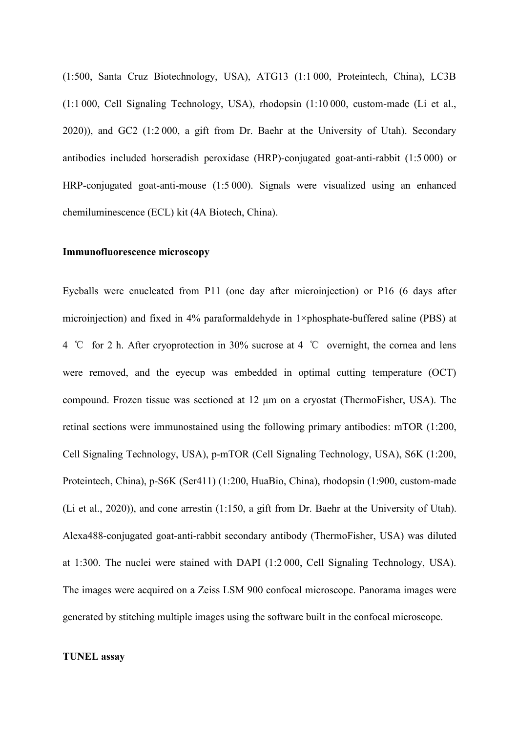(1:500, Santa Cruz Biotechnology, USA), ATG13 (1:1 000, Proteintech, China), LC3B (1:1 000, Cell Signaling Technology, USA), rhodopsin (1:10 000, custom-made (Li et al., 2020)), and GC2 (1:2 000, a gift from Dr. Baehr at the University of Utah). Secondary antibodies included horseradish peroxidase (HRP)-conjugated goat-anti-rabbit (1:5 000) or HRP-conjugated goat-anti-mouse (1:5 000). Signals were visualized using an enhanced chemiluminescence (ECL) kit (4A Biotech, China).

#### **Immunofluorescence microscopy**

Eyeballs were enucleated from P11 (one day after microinjection) or P16 (6 days after microinjection) and fixed in 4% paraformaldehyde in 1×phosphate-buffered saline (PBS) at 4 ℃ for 2 h. After cryoprotection in 30% sucrose at 4 ℃ overnight, the cornea and lens were removed, and the eyecup was embedded in optimal cutting temperature (OCT) compound. Frozen tissue was sectioned at 12 μm on a cryostat (ThermoFisher, USA). The retinal sections were immunostained using the following primary antibodies: mTOR (1:200, Cell Signaling Technology, USA), p-mTOR (Cell Signaling Technology, USA), S6K (1:200, Proteintech, China), p-S6K (Ser411) (1:200, HuaBio, China), rhodopsin (1:900, custom-made (Li et al., 2020)), and cone arrestin  $(1:150, a$  gift from Dr. Baehr at the University of Utah). Alexa488-conjugated goat-anti-rabbit secondary antibody (ThermoFisher, USA) was diluted at 1:300. The nuclei were stained with DAPI (1:2 000, Cell Signaling Technology, USA). The images were acquired on a Zeiss LSM 900 confocal microscope. Panorama images were generated by stitching multiple images using the software built in the confocal microscope.

#### **TUNEL assay**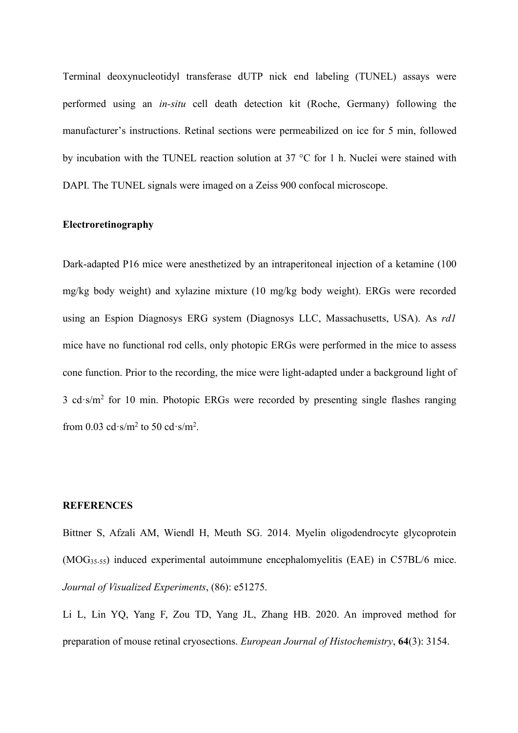Terminal deoxynucleotidyl transferase dUTP nick end labeling (TUNEL) assays were performed using an *in-situ* cell death detection kit (Roche, Germany) following the manufacturer's instructions. Retinal sections were permeabilized on ice for 5 min, followed by incubation with the TUNEL reaction solution at 37 °C for 1 h. Nuclei were stained with DAPI. The TUNEL signals were imaged on a Zeiss 900 confocal microscope.

# **Electroretinography**

Dark-adapted P16 mice were anesthetized by an intraperitoneal injection of a ketamine (100 mg/kg body weight) and xylazine mixture (10 mg/kg body weight). ERGs were recorded using an Espion Diagnosys ERG system (Diagnosys LLC, Massachusetts, USA). As *rd1* mice have no functional rod cells, only photopic ERGs were performed in the mice to assess cone function. Prior to the recording, the mice were light-adapted under a background light of 3 cd·s/m<sup>2</sup> for 10 min. Photopic ERGs were recorded by presenting single flashes ranging from 0.03 cd $\cdot$ s/m<sup>2</sup> to 50 cd $\cdot$ s/m<sup>2</sup>. .

#### **REFERENCES**

Bittner S, Afzali AM, Wiendl H, Meuth SG. 2014. Myelin oligodendrocyte glycoprotein (MOG35-55) induced experimental autoimmune encephalomyelitis (EAE) in C57BL/6 mice. *Journal of Visualized Experiments*, (86): e51275.

Li L, Lin YQ, Yang F, Zou TD, Yang JL, Zhang HB. 2020. An improved method for preparation of mouse retinal cryosections. *European Journal of Histochemistry*, **64**(3): 3154.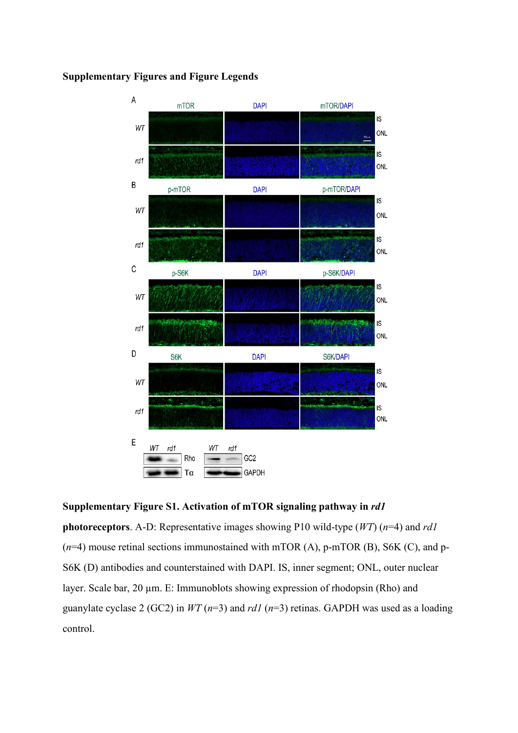

## **Supplementary Figures and Figure Legends**

**Supplementary Figure S1. Activation of mTOR signaling pathway in** *rd1*

**photoreceptors**. A-D: Representative images showing P10 wild-type (*WT*) (*n*=4) and *rd1* (*n*=4) mouse retinal sections immunostained with mTOR (A), p-mTOR (B), S6K (C), and p- S6K (D) antibodies and counterstained with DAPI. IS, inner segment; ONL, outer nuclear layer. Scale bar, 20  $\mu$ m. E: Immunoblots showing expression of rhodopsin (Rho) and guanylate cyclase 2 (GC2) in *WT* (*n*=3) and *rd1* (*n*=3) retinas. GAPDH was used as a loading control.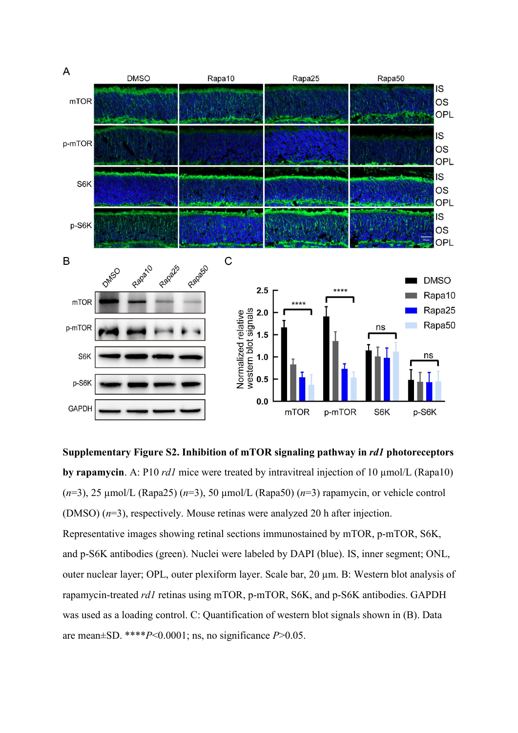

**Supplementary Figure S2. Inhibition of mTOR signaling pathway in** *rd1* **photoreceptors by rapamycin**. A: P10 *rd1* mice were treated by intravitreal injection of 10 µmol/L (Rapa10) (*n*=3), 25 µmol/L (Rapa25) (*n*=3), 50 µmol/L (Rapa50) (*n*=3) rapamycin, or vehicle control (DMSO) (*n*=3), respectively. Mouse retinas were analyzed 20 h after injection. Representative images showing retinal sections immunostained by mTOR, p-mTOR, S6K, and p-S6K antibodies (green). Nuclei were labeled by DAPI (blue). IS, inner segment; ONL, outer nuclear layer; OPL, outer plexiform layer. Scale bar, 20 µm. B: Western blot analysis of rapamycin-treated *rd1* retinas using mTOR, p-mTOR, S6K, and p-S6K antibodies. GAPDH was used as a loading control. C: Quantification of western blot signals shown in (B). Data are mean±SD. \*\*\*\**P*<0.0001; ns, no significance *P*>0.05.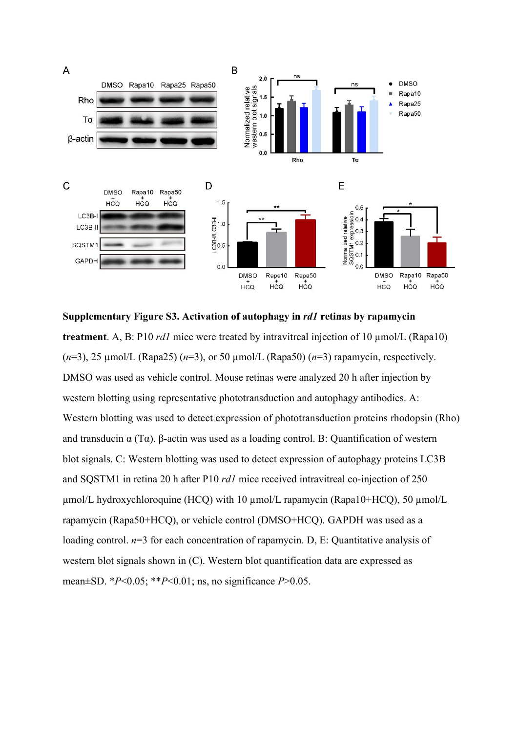

**Supplementary Figure S3. Activation of autophagy in** *rd1* **retinas by rapamycin treatment**. A, B: P10 *rd1* mice were treated by intravitreal injection of 10 µmol/L (Rapa10) (*n*=3), 25 µmol/L (Rapa25) (*n*=3), or 50 µmol/L (Rapa50) (*n*=3) rapamycin, respectively. DMSO was used as vehicle control. Mouse retinas were analyzed 20 h after injection by western blotting using representative phototransduction and autophagy antibodies. A: Western blotting was used to detect expression of phototransduction proteins rhodopsin (Rho) and transducin  $\alpha$  (T $\alpha$ ). β-actin was used as a loading control. B: Quantification of western blot signals. C: Western blotting was used to detect expression of autophagy proteins LC3B and SQSTM1 in retina 20 h after P10 *rd1* mice received intravitreal co-injection of 250  $\mu$ mol/L hydroxychloroquine (HCQ) with 10  $\mu$ mol/L rapamycin (Rapa10+HCQ), 50  $\mu$ mol/L rapamycin (Rapa50+HCQ), or vehicle control (DMSO+HCQ). GAPDH was used as a loading control.  $n=3$  for each concentration of rapamycin. D, E: Quantitative analysis of western blot signals shown in (C). Western blot quantification data are expressed as mean±SD. \**P*<0.05; \*\**P*<0.01; ns, no significance *P*>0.05.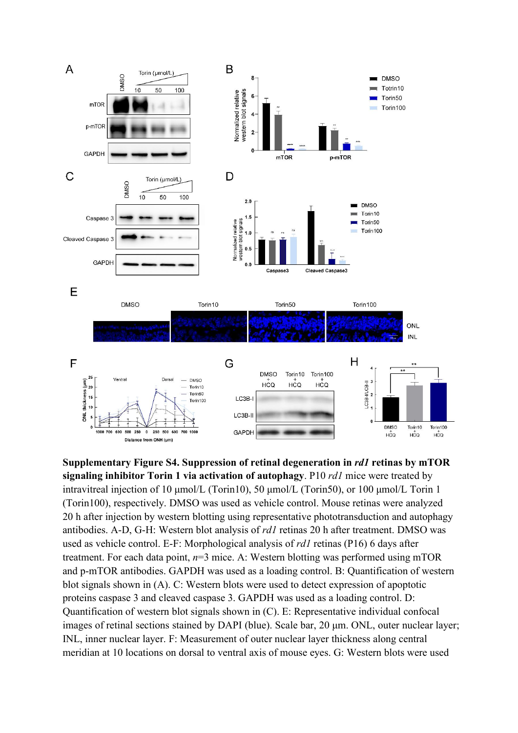

**Supplementary Figure S4. Suppression of retinal degeneration in** *rd1* **retinas by mTOR signaling inhibitor Torin 1 via activation of autophagy**. P10 *rd1* mice were treated by intravitreal injection of 10 μmol/L (Torin10), 50 μmol/L (Torin50), or 100 μmol/L Torin 1 (Torin100), respectively. DMSO was used as vehicle control. Mouse retinas were analyzed 20 h after injection by western blotting using representative phototransduction and autophagy antibodies. A-D, G-H: Western blot analysis of *rd1* retinas 20 h after treatment. DMSO was used as vehicle control. E-F: Morphological analysis of *rd1* retinas (P16) 6 days after treatment. For each data point,  $n=3$  mice. A: Western blotting was performed using mTOR and p-mTOR antibodies. GAPDH was used as a loading control. B: Quantification of western blot signals shown in (A). C: Western blots were used to detect expression of apoptotic proteins caspase 3 and cleaved caspase 3. GAPDH was used as a loading control. D: Quantification of western blot signals shown in (C). E: Representative individual confocal images ofretinal sections stained by DAPI (blue). Scale bar, 20 μm. ONL, outer nuclear layer; INL, inner nuclear layer. F: Measurement of outer nuclear layer thickness along central meridian at 10 locations on dorsal to ventral axis of mouse eyes. G: Western blots were used